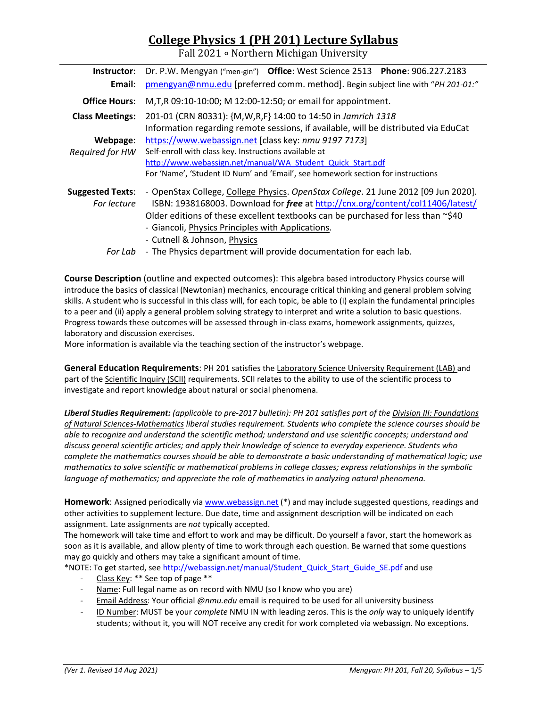# **College Physics 1 (PH 201) Lecture Syllabus**

Fall 2021 ∘ Northern Michigan University

| Instructor:             | Dr. P.W. Mengyan ("men-gin") Office: West Science 2513 Phone: 906.227.2183                                                                             |  |  |  |
|-------------------------|--------------------------------------------------------------------------------------------------------------------------------------------------------|--|--|--|
| Email:                  | pmengyan@nmu.edu [preferred comm. method]. Begin subject line with "PH 201-01:"                                                                        |  |  |  |
| <b>Office Hours:</b>    | M, T, R 09:10-10:00; M 12:00-12:50; or email for appointment.                                                                                          |  |  |  |
| <b>Class Meetings:</b>  | 201-01 (CRN 80331): {M, W, R, F} 14:00 to 14:50 in Jamrich 1318<br>Information regarding remote sessions, if available, will be distributed via EduCat |  |  |  |
| Webpage:                | https://www.webassign.net [class key: nmu 9197 7173]                                                                                                   |  |  |  |
| Required for HW         | Self-enroll with class key. Instructions available at                                                                                                  |  |  |  |
|                         | http://www.webassign.net/manual/WA Student Quick Start.pdf                                                                                             |  |  |  |
|                         | For 'Name', 'Student ID Num' and 'Email', see homework section for instructions                                                                        |  |  |  |
| <b>Suggested Texts:</b> | - OpenStax College, College Physics. OpenStax College. 21 June 2012 [09 Jun 2020].                                                                     |  |  |  |
| For lecture             | ISBN: 1938168003. Download for free at http://cnx.org/content/col11406/latest/                                                                         |  |  |  |
|                         | Older editions of these excellent textbooks can be purchased for less than $\sim$ \$40                                                                 |  |  |  |
|                         | - Giancoli, Physics Principles with Applications.                                                                                                      |  |  |  |
|                         | - Cutnell & Johnson, Physics                                                                                                                           |  |  |  |
| For Lab                 | - The Physics department will provide documentation for each lab.                                                                                      |  |  |  |

**Course Description** (outline and expected outcomes): This algebra based introductory Physics course will introduce the basics of classical (Newtonian) mechanics, encourage critical thinking and general problem solving skills. A student who is successful in this class will, for each topic, be able to (i) explain the fundamental principles to a peer and (ii) apply a general problem solving strategy to interpret and write a solution to basic questions. Progress towards these outcomes will be assessed through in‐class exams, homework assignments, quizzes, laboratory and discussion exercises.

More information is available via the teaching section of the instructor's webpage.

**General Education Requirements**: PH 201 satisfies the Laboratory Science University Requirement (LAB) and part of the Scientific Inquiry (SCII) requirements. SCII relates to the ability to use of the scientific process to investigate and report knowledge about natural or social phenomena.

Liberal Studies Requirement: (applicable to pre-2017 bulletin): PH 201 satisfies part of the Division III: Foundations *of Natural Sciences‐Mathematics liberal studies requirement. Students who complete the science courses should be able to recognize and understand the scientific method; understand and use scientific concepts; understand and discuss general scientific articles; and apply their knowledge of science to everyday experience. Students who complete the mathematics courses should be able to demonstrate a basic understanding of mathematical logic; use mathematics to solve scientific or mathematical problems in college classes; express relationships in the symbolic language of mathematics; and appreciate the role of mathematics in analyzing natural phenomena.*

**Homework**: Assigned periodically via www.webassign.net (\*) and may include suggested questions, readings and other activities to supplement lecture. Due date, time and assignment description will be indicated on each assignment. Late assignments are *not* typically accepted.

The homework will take time and effort to work and may be difficult. Do yourself a favor, start the homework as soon as it is available, and allow plenty of time to work through each question. Be warned that some questions may go quickly and others may take a significant amount of time.

\*NOTE: To get started, see http://webassign.net/manual/Student\_Quick\_Start\_Guide\_SE.pdf and use

- ‐ Class Key: \*\* See top of page \*\*
- Name: Full legal name as on record with NMU (so I know who you are)
- ‐ Email Address: Your official *@nmu.edu* email is required to be used for all university business
- ‐ ID Number: MUST be your *complete* NMU IN with leading zeros. This is the *only* way to uniquely identify students; without it, you will NOT receive any credit for work completed via webassign. No exceptions.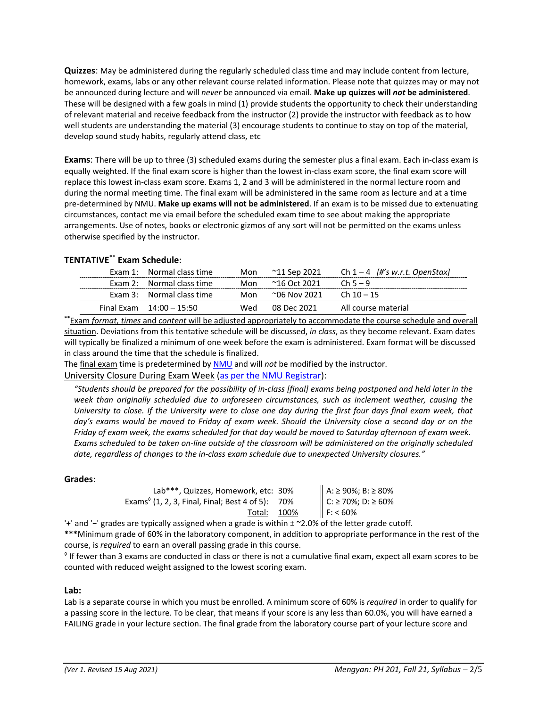**Quizzes**: May be administered during the regularly scheduled class time and may include content from lecture, homework, exams, labs or any other relevant course related information. Please note that quizzes may or may not be announced during lecture and will *never* be announced via email. **Make up quizzes will** *not* **be administered**. These will be designed with a few goals in mind (1) provide students the opportunity to check their understanding of relevant material and receive feedback from the instructor (2) provide the instructor with feedback as to how well students are understanding the material (3) encourage students to continue to stay on top of the material, develop sound study habits, regularly attend class, etc

**Exams**: There will be up to three (3) scheduled exams during the semester plus a final exam. Each in‐class exam is equally weighted. If the final exam score is higher than the lowest in‐class exam score, the final exam score will replace this lowest in‐class exam score. Exams 1, 2 and 3 will be administered in the normal lecture room and during the normal meeting time. The final exam will be administered in the same room as lecture and at a time pre‐determined by NMU. **Make up exams will not be administered**. If an exam is to be missed due to extenuating circumstances, contact me via email before the scheduled exam time to see about making the appropriate arrangements. Use of notes, books or electronic gizmos of any sort will not be permitted on the exams unless otherwise specified by the instructor.

# **TENTATIVE\*\* Exam Schedule**:

| Exam 1: Normal class time  | Mon | ~11 Sep 2021   | Ch $1 - 4$ [#'s w.r.t. OpenStax]                                                                                                                                                                                                   |
|----------------------------|-----|----------------|------------------------------------------------------------------------------------------------------------------------------------------------------------------------------------------------------------------------------------|
| Exam 2: Normal class time  | Mon | 216 Oct 2021 ∼ | $Ch5-9$                                                                                                                                                                                                                            |
| Exam 3: Normal class time  | Mon | 206 Nov 2021 ∼ | $Ch 10 - 15$                                                                                                                                                                                                                       |
| Final Exam $14:00 - 15:50$ | Wed | 08 Dec 2021    | All course material                                                                                                                                                                                                                |
|                            |     |                | $\mathcal{L}$ . The set of the set of the set of the set of the set of the set of the set of the set of the set of the set of the set of the set of the set of the set of the set of the set of the set of the set of the set of t |

**\*\***Exam *format, times* and *content* will be adjusted appropriately to accommodate the course schedule and overall situation. Deviations from this tentative schedule will be discussed, *in class*, as they become relevant. Exam dates will typically be finalized a minimum of one week before the exam is administered. Exam format will be discussed in class around the time that the schedule is finalized.

The final exam time is predetermined by NMU and will *not* be modified by the instructor.

University Closure During Exam Week (as per the NMU Registrar):

"Students should be prepared for the possibility of in-class [final] exams being postponed and held later in the *week than originally scheduled due to unforeseen circumstances, such as inclement weather, causing the* University to close. If the University were to close one day during the first four days final exam week, that day's exams would be moved to Friday of exam week. Should the University close a second day or on the Friday of exam week, the exams scheduled for that day would be moved to Saturday afternoon of exam week. Exams scheduled to be taken on-line outside of the classroom will be administered on the originally scheduled *date, regardless of changes to the in‐class exam schedule due to unexpected University closures."*

# **Grades**:

| Lab***, Quizzes, Homework, etc: 30%                                           | A: ≥ 90%; B: ≥ 80% |
|-------------------------------------------------------------------------------|--------------------|
| Exams <sup><math>\circ</math></sup> (1, 2, 3, Final, Final; Best 4 of 5): 70% | C: ≥ 70%; D: ≥ 60% |
| Total: 100%                                                                   | $F: < 60\%$        |
|                                                                               |                    |

'+' and '−' grades are typically assigned when a grade is within ± ~2.0% of the letter grade cutoff.

**\*\*\***Minimum grade of 60% in the laboratory component, in addition to appropriate performance in the rest of the course, is *required* to earn an overall passing grade in this course.

◊ If fewer than 3 exams are conducted in class or there is not a cumulative final exam, expect all exam scores to be counted with reduced weight assigned to the lowest scoring exam.

#### **Lab:**

Lab is a separate course in which you must be enrolled. A minimum score of 60% is *required* in order to qualify for a passing score in the lecture. To be clear, that means if your score is any less than 60.0%, you will have earned a FAILING grade in your lecture section. The final grade from the laboratory course part of your lecture score and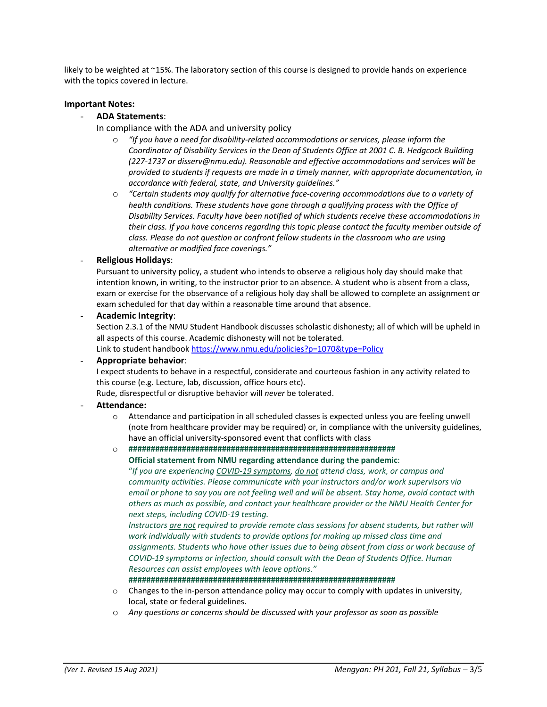likely to be weighted at ~15%. The laboratory section of this course is designed to provide hands on experience with the topics covered in lecture.

#### **Important Notes:**

#### - **ADA Statements**:

- In compliance with the ADA and university policy
	- o *"If you have a need for disability‐related accommodations or services, please inform the Coordinator of Disability Services in the Dean of Students Office at 2001 C. B. Hedgcock Building (227‐1737 or disserv@nmu.edu). Reasonable and effective accommodations and services will be provided to students if requests are made in a timely manner, with appropriate documentation, in accordance with federal, state, and University guidelines."*
	- o *"Certain students may qualify for alternative face‐covering accommodations due to a variety of health conditions. These students have gone through a qualifying process with the Office of Disability Services. Faculty have been notified of which students receive these accommodations in their class. If you have concerns regarding this topic please contact the faculty member outside of class. Please do not question or confront fellow students in the classroom who are using alternative or modified face coverings."*

#### - **Religious Holidays**:

Pursuant to university policy, a student who intends to observe a religious holy day should make that intention known, in writing, to the instructor prior to an absence. A student who is absent from a class, exam or exercise for the observance of a religious holy day shall be allowed to complete an assignment or exam scheduled for that day within a reasonable time around that absence.

#### - **Academic Integrity**:

Section 2.3.1 of the NMU Student Handbook discusses scholastic dishonesty; all of which will be upheld in all aspects of this course. Academic dishonesty will not be tolerated.

Link to student handbook https://www.nmu.edu/policies?p=1070&type=Policy

#### - **Appropriate behavior**:

I expect students to behave in a respectful, considerate and courteous fashion in any activity related to this course (e.g. Lecture, lab, discussion, office hours etc).

Rude, disrespectful or disruptive behavior will *never* be tolerated.

# - **Attendance:**

 $\circ$  Attendance and participation in all scheduled classes is expected unless you are feeling unwell (note from healthcare provider may be required) or, in compliance with the university guidelines, have an official university‐sponsored event that conflicts with class

# o **############################################################**

**Official statement from NMU regarding attendance during the pandemic**:

"*If you are experiencing COVID‐19 symptoms, do not attend class, work, or campus and community activities. Please communicate with your instructors and/or work supervisors via* email or phone to say you are not feeling well and will be absent. Stay home, avoid contact with *others as much as possible, and contact your healthcare provider or the NMU Health Center for next steps, including COVID‐19 testing.* 

*Instructors are not required to provide remote class sessions for absent students, but rather will work individually with students to provide options for making up missed class time and assignments. Students who have other issues due to being absent from class or work because of COVID‐19 symptoms or infection, should consult with the Dean of Students Office. Human Resources can assist employees with leave options."*

**############################################################**

- o Changes to the in‐person attendance policy may occur to comply with updates in university, local, state or federal guidelines.
- o *Any questions or concerns should be discussed with your professor as soon as possible*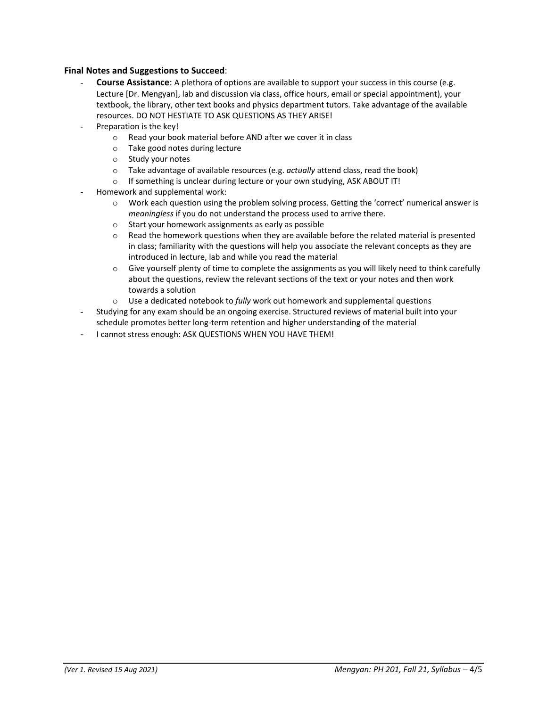# **Final Notes and Suggestions to Succeed**:

- **Course Assistance**: A plethora of options are available to support your success in this course (e.g. Lecture [Dr. Mengyan], lab and discussion via class, office hours, email or special appointment), your textbook, the library, other text books and physics department tutors. Take advantage of the available resources. DO NOT HESTIATE TO ASK QUESTIONS AS THEY ARISE!
- Preparation is the key!
	- o Read your book material before AND after we cover it in class
	- o Take good notes during lecture
	- o Study your notes
	- o Take advantage of available resources (e.g. *actually* attend class, read the book)
	- o If something is unclear during lecture or your own studying, ASK ABOUT IT!
- Homework and supplemental work:
	- o Work each question using the problem solving process. Getting the 'correct' numerical answer is *meaningless* if you do not understand the process used to arrive there.
	- o Start your homework assignments as early as possible
	- $\circ$  Read the homework questions when they are available before the related material is presented in class; familiarity with the questions will help you associate the relevant concepts as they are introduced in lecture, lab and while you read the material
	- $\circ$  Give yourself plenty of time to complete the assignments as you will likely need to think carefully about the questions, review the relevant sections of the text or your notes and then work towards a solution
	- o Use a dedicated notebook to *fully* work out homework and supplemental questions
- Studying for any exam should be an ongoing exercise. Structured reviews of material built into your schedule promotes better long‐term retention and higher understanding of the material
- I cannot stress enough: ASK QUESTIONS WHEN YOU HAVE THEM!